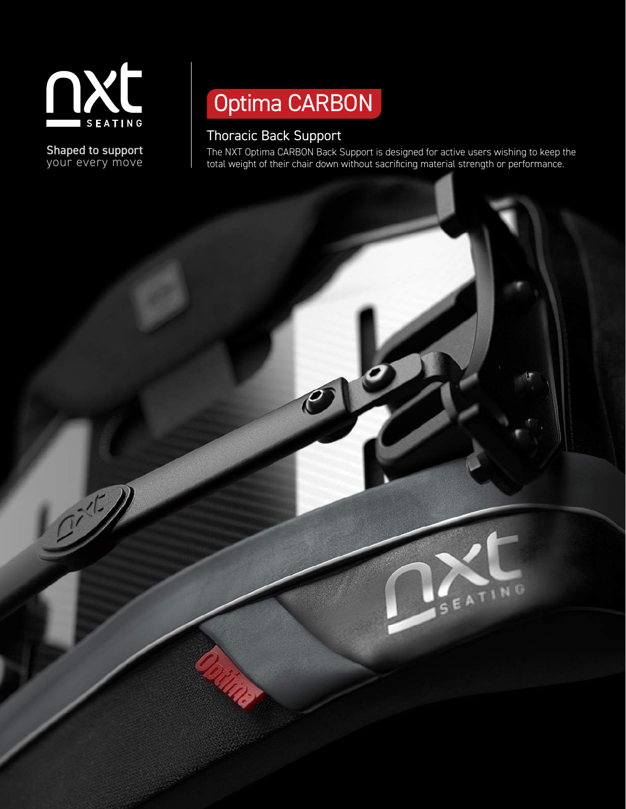

Shaped to support your every move

# Optima CARBON

 $\mathcal C$ 

# Thoracic Back Support

The NXT Optima CARBON Back Support is designed for active users wishing to keep the total weight of their chair down without sacrificing material strength or performance.

SEATING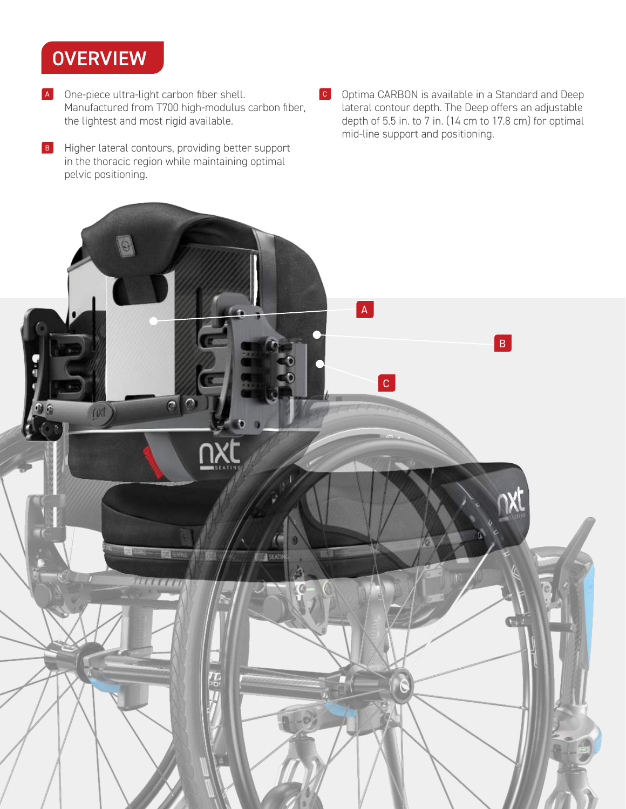# **OVERVIEW**

- A One-piece ultra-light carbon fiber shell. Manufactured from T700 high-modulus carbon fiber, the lightest and most rigid available.
- B Higher lateral contours, providing better support in the thoracic region while maintaining optimal pelvic positioning.
- <sup>C</sup> Optima CARBON is available in a Standard and Deep lateral contour depth. The Deep offers an adjustable depth of 5.5 in. to 7 in. (14 cm to 17.8 cm) for optimal mid-line support and positioning.

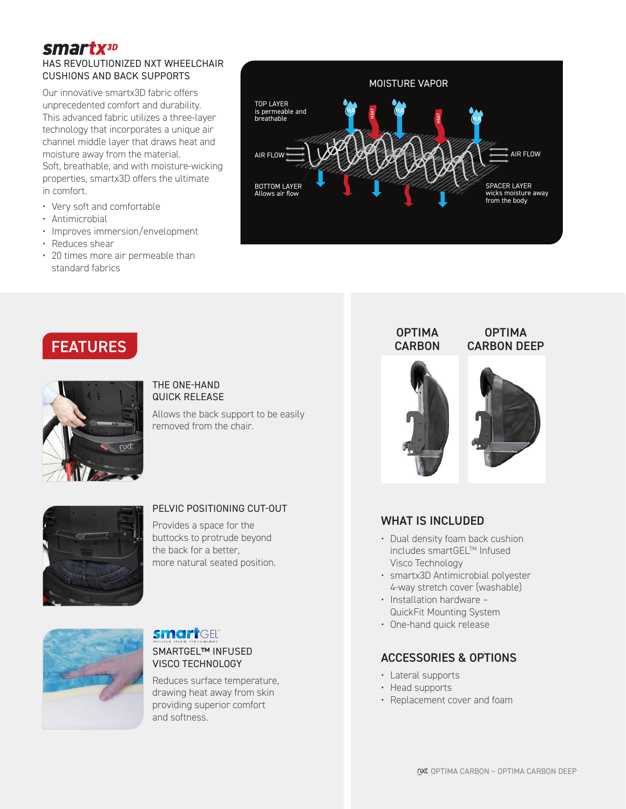## **smartx**3D

## HAS REVOLUTIONIZED NXT WHEELCHAIR CUSHIONS AND BACK SUPPORTS

Our innovative smartx3D fabric offers unprecedented comfort and durability. This advanced fabric utilizes a three-layer technology that incorporates a unique air channel middle layer that draws heat and moisture away from the material. Soft, breathable, and with moisture-wicking properties, smartx3D offers the ultimate in comfort.

- Very soft and comfortable
- Antimicrobial
- Improves immersion/envelopment
- Reduces shear
- 20 times more air permeable than standard fabrics



# FEATURES



#### THE ONE-HAND QUICK RELEASE

Allows the back support to be easily removed from the chair.



## PELVIC POSITIONING CUT-OUT

Provides a space for the buttocks to protrude beyond the back for a better, more natural seated position.



## GEL<sup>®</sup>

SMARTGEL™ INFUSED VISCO TECHNOLOGY

Reduces surface temperature, drawing heat away from skin providing superior comfort and softness.

#### OPTIMA CARBON DEEP **OPTIMA CARBON**





## WHAT IS INCLUDED

- Dual density foam back cushion includes smartGEL™ Infused Visco Technology
- smartx3D Antimicrobial polyester 4-way stretch cover (washable)
- Installation hardware QuickFit Mounting System
- One-hand quick release

## ACCESSORIES & OPTIONS

- Lateral supports
- Head supports
- Replacement cover and foam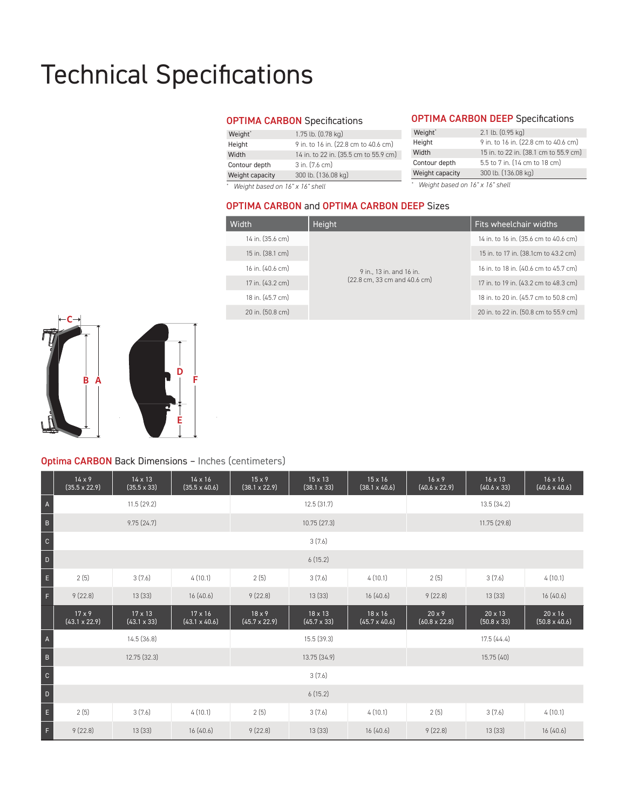# Technical Specifications

#### OPTIMA CARBON Specifications

| Weight <sup>*</sup> | 1.75 lb. (0.78 kg)                    |
|---------------------|---------------------------------------|
| Height              | 9 in. to 16 in. (22.8 cm to 40.6 cm)  |
| Width               | 14 in. to 22 in. (35.5 cm to 55.9 cm) |
| Contour depth       | $3$ in. $(7.6 \text{ cm})$            |
| Weight capacity     | 300 lb. (136.08 kg)                   |
|                     |                                       |

*\* Weight based on 16" x 16" shell*

### OPTIMA CARBON DEEP Specifications

| Weight*         | 2.1 lb. (0.95 kg)                     |  |  |  |
|-----------------|---------------------------------------|--|--|--|
| Height          | 9 in. to 16 in. (22.8 cm to 40.6 cm)  |  |  |  |
| Width           | 15 in. to 22 in. (38.1 cm to 55.9 cm) |  |  |  |
| Contour depth   | 5.5 to 7 in. (14 cm to 18 cm)         |  |  |  |
| Weight capacity | 300 lb. (136.08 kg)                   |  |  |  |
|                 |                                       |  |  |  |

*\* Weight based on 16" x 16" shell*

### OPTIMA CARBON and OPTIMA CARBON DEEP Sizes

| Width            | Height                       | Fits wheelchair widths                |  |  |
|------------------|------------------------------|---------------------------------------|--|--|
| 14 in. (35.6 cm) |                              | 14 in. to 16 in. (35.6 cm to 40.6 cm) |  |  |
| 15 in. (38.1 cm) |                              | 15 in. to 17 in. (38.1cm to 43.2 cm)  |  |  |
| 16 in. (40.6 cm) | 9 in., 13 in. and 16 in.     | 16 in. to 18 in. (40.6 cm to 45.7 cm) |  |  |
| 17 in. (43.2 cm) | (22.8 cm, 33 cm and 40.6 cm) | 17 in. to 19 in. (43.2 cm to 48.3 cm) |  |  |
| 18 in. (45.7 cm) |                              | 18 in. to 20 in. (45.7 cm to 50.8 cm) |  |  |
| 20 in. (50.8 cm) |                              | 20 in. to 22 in. (50.8 cm to 55.9 cm) |  |  |



## Optima CARBON Back Dimensions – Inches (centimeters)

F

|                | $14 \times 9$<br>$(35.5 \times 22.9)$ | 14 x 13<br>$(35.5 \times 33)$        | $14 \times 16$<br>$(35.5 \times 40.6)$ | $15 \times 9$<br>$(38.1 \times 22.9)$ | $15 \times 13$<br>$(38.1 \times 33)$ | $15 \times 16$<br>$(38.1 \times 40.6)$ | $16 \times 9$<br>$(40.6 \times 22.9)$ | 16 x 13<br>$(40.6 \times 33)$ | $16 \times 16$<br>$(40.6 \times 40.6)$ |
|----------------|---------------------------------------|--------------------------------------|----------------------------------------|---------------------------------------|--------------------------------------|----------------------------------------|---------------------------------------|-------------------------------|----------------------------------------|
| $\mathsf{A}$   |                                       | 11.5(29.2)                           |                                        |                                       | 12.5(31.7)                           |                                        |                                       | 13.5(34.2)                    |                                        |
| $\sf B$        | 9.75(24.7)                            |                                      |                                        | 10.75(27.3)                           |                                      |                                        | 11.75 (29.8)                          |                               |                                        |
| $\mathbf C$    | 3(7.6)                                |                                      |                                        |                                       |                                      |                                        |                                       |                               |                                        |
| $\mathsf{D}$   | 6(15.2)                               |                                      |                                        |                                       |                                      |                                        |                                       |                               |                                        |
| $\mathsf{E}$   | 2(5)                                  | 3(7.6)                               | 4(10.1)                                | 2(5)                                  | 3(7.6)                               | 4(10.1)                                | 2(5)                                  | 3(7.6)                        | 4(10.1)                                |
| $\mathsf F$    | 9(22.8)                               | 13(33)                               | 16(40.6)                               | 9(22.8)                               | 13(33)                               | 16(40.6)                               | 9(22.8)                               | 13(33)                        | 16(40.6)                               |
|                | $17 \times 9$<br>$(43.1 \times 22.9)$ | $17 \times 13$<br>$(43.1 \times 33)$ | $17 \times 16$<br>$(43.1 \times 40.6)$ | $18 \times 9$<br>$(45.7 \times 22.9)$ | 18 x 13<br>$(45.7 \times 33)$        | $18 \times 16$<br>$(45.7 \times 40.6)$ | $20 \times 9$<br>$(60.8 \times 22.8)$ | 20 x 13<br>$(50.8 \times 33)$ | $20 \times 16$<br>$(50.8 \times 40.6)$ |
| $\overline{A}$ |                                       | 14.5(36.8)                           |                                        |                                       | 15.5 (39.3)                          |                                        |                                       | 17.5(44.4)                    |                                        |
| $\,$ B         | 12.75 (32.3)                          |                                      |                                        | 13.75 (34.9)                          |                                      |                                        | 15.75 (40)                            |                               |                                        |
| $\mathbb{C}$   |                                       |                                      |                                        |                                       | 3(7.6)                               |                                        |                                       |                               |                                        |
| $\mathsf D$    |                                       |                                      |                                        |                                       | 6(15.2)                              |                                        |                                       |                               |                                        |
| $\mathsf E$    | 2(5)                                  | 3(7.6)                               | 4(10.1)                                | 2(5)                                  | 3(7.6)                               | 4(10.1)                                | 2(5)                                  | 3(7.6)                        | 4(10.1)                                |
| F.             | 9(22.8)                               | 13(33)                               | 16(40.6)                               | 9(22.8)                               | 13(33)                               | 16(40.6)                               | 9(22.8)                               | 13(33)                        | 16(40.6)                               |